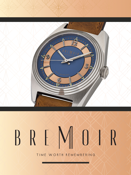

# REMANAR  $\mathbf{B}$

TIME WORTH REMEMBERING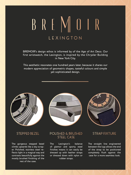# BREMDIR LEXINGTON

BREMOIR's design ethos is informed by of the Age of Art Deco. Our first wristwatch, the Lexington, is inspired by the Chrysler Building in New York City.

This aesthetic resonates one hundred years later, because it shares our modern appreciation of geometric shapes, tasteful colours and simple yet sophisticated design.



#### **STEPPED BEZEL**

The gorgeous stepped bezel climbs upwards like a sky-scraper. Polished, stainless steel reflects light in a magical way and contrasts beautifully against the mostly brushed finishing of the rest of the case.





#### POLISHED & BRUSHED STEEL CASE

The Lexington's balance of glamor and sporty steel finishes means it can easily be dressed up with leather straps or dressed down with nylon or rubber straps.

## **STRAP FIXTURE**

The straight line engineered between the lugs allows the end of the strap to be positioned completely flush against the case for a more seamless look.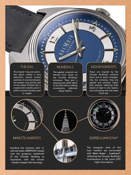#### THE DIAL

E E

E

c

The chapter ring and sectordial layout creates a very distinctive, period correct ae sth e tic. A con t r a s t b etween the chapter ring and the rest of the matte finished dial is c r e a ted with m e talli c paint in either b rushed s tainless s teel or coppe r.

### NUMERALS

The applied numerals are deri ved f rom those on the Ch rysler Building 's entrances. They give a pl easing and subtle de pth t o the d ial without adding unne cessa r y , elaborate design details.

# **HOUR MARKERS**

NO ING

 $\frac{1}{2}$ 

a

 $\blacksquare$ 

٠

۰

n,

 $\mathbf{u}$ 

These are inspired by the Chrysler Building's entrance doors and its spire's triangles. Like the numerals, they are applied and polished, rather<br>than painted, reflecting little<br>shards of light to the wearer, and contrasting with the matte finish d ial.



### **MINUTE MARKERS**

Avoiding the common dash or railroad styles, BREMOIR instead uses the gorgeous metalwork o f the Ch rysler Building as inspiration, with the minute ma r kers s haped li ke doo r w ays.





#### **SUPER-LUMINOVA®**

The t r iangu lar ends o f the hour markers are surrounded with **Swiss Supe r - Lumino v a ®**, reflecting the Chrysler Building's luminescence in the iconic NYC nig ht-time s kyline.